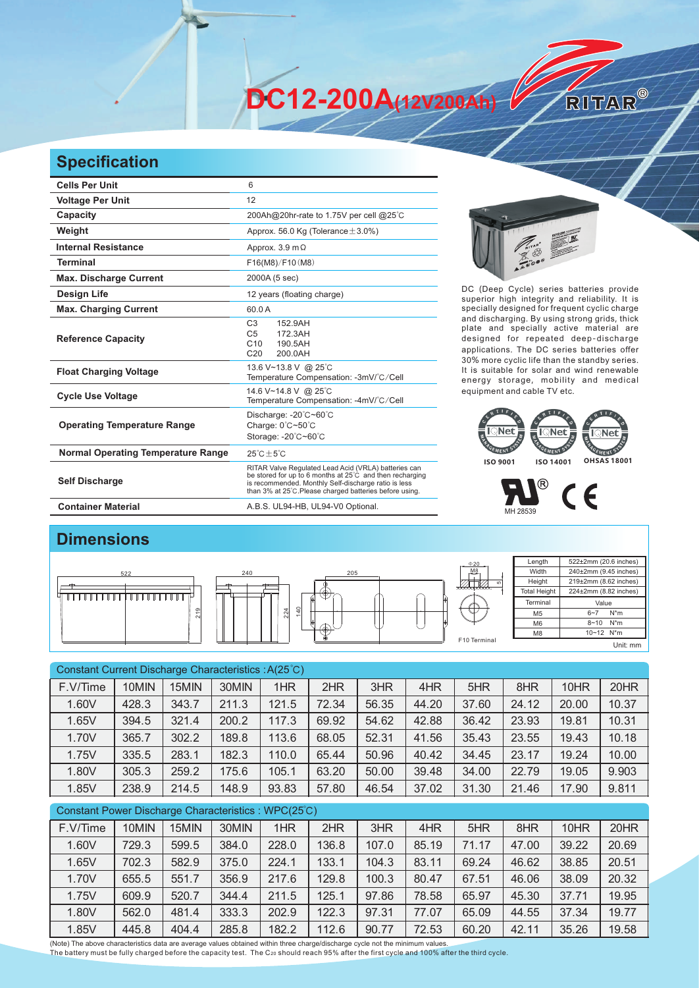**DC12-200A(12V200Ah)** 

## **Specification**

| <b>Cells Per Unit</b>                     | 6                                                                                                                                                                                                                                   |  |  |  |  |  |
|-------------------------------------------|-------------------------------------------------------------------------------------------------------------------------------------------------------------------------------------------------------------------------------------|--|--|--|--|--|
| <b>Voltage Per Unit</b>                   | 12                                                                                                                                                                                                                                  |  |  |  |  |  |
| Capacity                                  | 200Ah@20hr-rate to 1.75V per cell @25°C                                                                                                                                                                                             |  |  |  |  |  |
| Weight                                    | Approx. 56.0 Kg (Tolerance $\pm$ 3.0%)                                                                                                                                                                                              |  |  |  |  |  |
| <b>Internal Resistance</b>                | Approx. $3.9 \text{ m}\Omega$                                                                                                                                                                                                       |  |  |  |  |  |
| <b>Terminal</b>                           | F16(M8)/F10(M8)                                                                                                                                                                                                                     |  |  |  |  |  |
| <b>Max. Discharge Current</b>             | 2000A (5 sec)                                                                                                                                                                                                                       |  |  |  |  |  |
| <b>Design Life</b>                        | 12 years (floating charge)                                                                                                                                                                                                          |  |  |  |  |  |
| <b>Max. Charging Current</b>              | 60.0A                                                                                                                                                                                                                               |  |  |  |  |  |
| <b>Reference Capacity</b>                 | C <sub>3</sub><br>152.9AH<br>C <sub>5</sub><br>172.3AH<br>C10<br>190.5AH<br>C <sub>20</sub><br>200.0AH                                                                                                                              |  |  |  |  |  |
| <b>Float Charging Voltage</b>             | 13.6 V~13.8 V @ 25°C<br>Temperature Compensation: -3mV/°C/Cell                                                                                                                                                                      |  |  |  |  |  |
| <b>Cycle Use Voltage</b>                  | 14.6 V~14.8 V @ 25°C<br>Temperature Compensation: -4mV/°C/Cell                                                                                                                                                                      |  |  |  |  |  |
| <b>Operating Temperature Range</b>        | Discharge: - 20°C~60°C<br>Charge: 0°C~50°C<br>Storage: -20°C~60°C                                                                                                                                                                   |  |  |  |  |  |
| <b>Normal Operating Temperature Range</b> | $25^{\circ}$ C + $5^{\circ}$ C                                                                                                                                                                                                      |  |  |  |  |  |
| <b>Self Discharge</b>                     | RITAR Valve Regulated Lead Acid (VRLA) batteries can<br>be stored for up to 6 months at 25°C and then recharging<br>is recommended. Monthly Self-discharge ratio is less<br>than 3% at 25°C. Please charged batteries before using. |  |  |  |  |  |
| <b>Container Material</b>                 | A.B.S. UL94-HB, UL94-V0 Optional.                                                                                                                                                                                                   |  |  |  |  |  |



RITAR®

DC (Deep Cycle) series batteries provide superior high integrity and reliability. It is specially designed for frequent cyclic charge and discharging. By using strong grids, thick plate and specially active material are designed for repeated deep-discharge applications. The DC series batteries offer 30% more cyclic life than the standby series. It is suitable for solar and wind renewable energy storage, mobility and medical equipment and cable TV etc.





## **Dimensions**



| Constant Current Discharge Characteristics: A(25°C) |       |       |       |       |       |       |       |       |       |       |       |
|-----------------------------------------------------|-------|-------|-------|-------|-------|-------|-------|-------|-------|-------|-------|
| F.V/Time                                            | 10MIN | 15MIN | 30MIN | 1HR   | 2HR   | 3HR   | 4HR   | 5HR   | 8HR   | 10HR  | 20HR  |
| 1.60V                                               | 428.3 | 343.7 | 211.3 | 121.5 | 72.34 | 56.35 | 44.20 | 37.60 | 24.12 | 20.00 | 10.37 |
| 1.65V                                               | 394.5 | 321.4 | 200.2 | 117.3 | 69.92 | 54.62 | 42.88 | 36.42 | 23.93 | 19.81 | 10.31 |
| 1.70V                                               | 365.7 | 302.2 | 189.8 | 113.6 | 68.05 | 52.31 | 41.56 | 35.43 | 23.55 | 19.43 | 10.18 |
| 1.75V                                               | 335.5 | 283.1 | 182.3 | 110.0 | 65.44 | 50.96 | 40.42 | 34.45 | 23.17 | 19.24 | 10.00 |
| 1.80V                                               | 305.3 | 259.2 | 175.6 | 105.1 | 63.20 | 50.00 | 39.48 | 34.00 | 22.79 | 19.05 | 9.903 |
| 1.85V                                               | 238.9 | 214.5 | 148.9 | 93.83 | 57.80 | 46.54 | 37.02 | 31.30 | 21.46 | 17.90 | 9.811 |
| Constant Power Discharge Characteristics: WPC(25°C) |       |       |       |       |       |       |       |       |       |       |       |
| F.V/Time                                            | 10MIN | 15MIN | 30MIN | 1HR   | 2HR   | 3HR   | 4HR   | 5HR   | 8HR   | 10HR  | 20HR  |

| F.V/IIMe | TUMIN | <b>MINICI</b> | <b>SUMIN</b> | IHK   | ZHR   | 3HR   | 4HR   | <b>SHR</b> | öHR   | IUHR  | ZUHR  |
|----------|-------|---------------|--------------|-------|-------|-------|-------|------------|-------|-------|-------|
| 1.60V    | 729.3 | 599.5         | 384.0        | 228.0 | 136.8 | 107.0 | 85.19 | 71.17      | 47.00 | 39.22 | 20.69 |
| 1.65V    | 702.3 | 582.9         | 375.0        | 224.1 | 133.1 | 104.3 | 83.11 | 69.24      | 46.62 | 38.85 | 20.51 |
| 1.70V    | 655.5 | 551.7         | 356.9        | 217.6 | 129.8 | 100.3 | 80.47 | 67.51      | 46.06 | 38.09 | 20.32 |
| 1.75V    | 609.9 | 520.7         | 344.4        | 211.5 | 125.1 | 97.86 | 78.58 | 65.97      | 45.30 | 37.71 | 19.95 |
| 1.80V    | 562.0 | 481.4         | 333.3        | 202.9 | 122.3 | 97.31 | 77.07 | 65.09      | 44.55 | 37.34 | 19.77 |
| 1.85V    | 445.8 | 404.4         | 285.8        | 182.2 | 112.6 | 90.77 | 72.53 | 60.20      | 42.11 | 35.26 | 19.58 |

(Note) The above characteristics data are average values obtained within three charge/discharge cycle not the minimum values.<br>The battery must be fully charged before the capacity test. The C20 should reach 95% after the